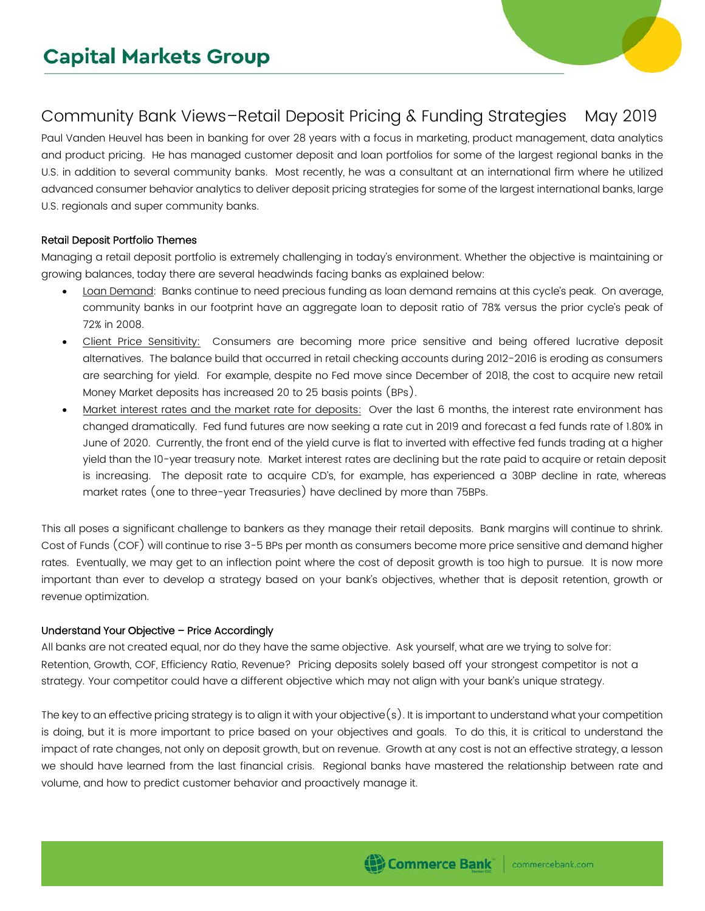# Community Bank Views–Retail Deposit Pricing & Funding Strategies May 2019

Paul Vanden Heuvel has been in banking for over 28 years with a focus in marketing, product management, data analytics and product pricing. He has managed customer deposit and loan portfolios for some of the largest regional banks in the U.S. in addition to several community banks. Most recently, he was a consultant at an international firm where he utilized advanced consumer behavior analytics to deliver deposit pricing strategies for some of the largest international banks, large U.S. regionals and super community banks.

## Retail Deposit Portfolio Themes

Managing a retail deposit portfolio is extremely challenging in today's environment. Whether the objective is maintaining or growing balances, today there are several headwinds facing banks as explained below:

- Loan Demand: Banks continue to need precious funding as loan demand remains at this cycle's peak. On average, community banks in our footprint have an aggregate loan to deposit ratio of 78% versus the prior cycle's peak of 72% in 2008.
- Client Price Sensitivity: Consumers are becoming more price sensitive and being offered lucrative deposit alternatives. The balance build that occurred in retail checking accounts during 2012-2016 is eroding as consumers are searching for yield. For example, despite no Fed move since December of 2018, the cost to acquire new retail Money Market deposits has increased 20 to 25 basis points (BPs).
- Market interest rates and the market rate for deposits: Over the last 6 months, the interest rate environment has changed dramatically. Fed fund futures are now seeking a rate cut in 2019 and forecast a fed funds rate of 1.80% in June of 2020. Currently, the front end of the yield curve is flat to inverted with effective fed funds trading at a higher yield than the 10-year treasury note. Market interest rates are declining but the rate paid to acquire or retain deposit is increasing. The deposit rate to acquire CD's, for example, has experienced a 30BP decline in rate, whereas market rates (one to three-year Treasuries) have declined by more than 75BPs.

This all poses a significant challenge to bankers as they manage their retail deposits. Bank margins will continue to shrink. Cost of Funds (COF) will continue to rise 3-5 BPs per month as consumers become more price sensitive and demand higher rates. Eventually, we may get to an inflection point where the cost of deposit growth is too high to pursue. It is now more important than ever to develop a strategy based on your bank's objectives, whether that is deposit retention, growth or revenue optimization.

## Understand Your Objective – Price Accordingly

All banks are not created equal, nor do they have the same objective. Ask yourself, what are we trying to solve for: Retention, Growth, COF, Efficiency Ratio, Revenue? Pricing deposits solely based off your strongest competitor is not a strategy. Your competitor could have a different objective which may not align with your bank's unique strategy.

The key to an effective pricing strategy is to align it with your objective(s). It is important to understand what your competition is doing, but it is more important to price based on your objectives and goals. To do this, it is critical to understand the impact of rate changes, not only on deposit growth, but on revenue. Growth at any cost is not an effective strategy, a lesson we should have learned from the last financial crisis. Regional banks have mastered the relationship between rate and volume, and how to predict customer behavior and proactively manage it.